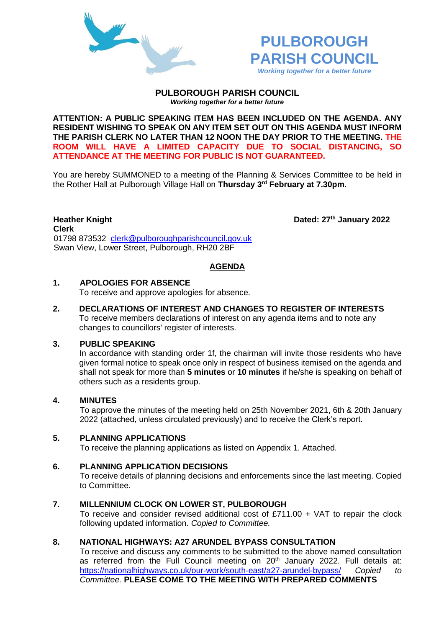



#### **PULBOROUGH PARISH COUNCIL** *Working together for a better future*

**ATTENTION: A PUBLIC SPEAKING ITEM HAS BEEN INCLUDED ON THE AGENDA. ANY RESIDENT WISHING TO SPEAK ON ANY ITEM SET OUT ON THIS AGENDA MUST INFORM THE PARISH CLERK NO LATER THAN 12 NOON THE DAY PRIOR TO THE MEETING. THE ROOM WILL HAVE A LIMITED CAPACITY DUE TO SOCIAL DISTANCING, SO ATTENDANCE AT THE MEETING FOR PUBLIC IS NOT GUARANTEED.**

You are hereby SUMMONED to a meeting of the Planning & Services Committee to be held in the Rother Hall at Pulborough Village Hall on **Thursday 3 rd February at 7.30pm.** 

**Heather Knight Dated: 27th January 2022 Clerk**  01798 873532 [clerk@pulboroughparishcouncil.gov.uk](mailto:clerk@pulboroughparishcouncil.gov.uk) Swan View, Lower Street, Pulborough, RH20 2BF

## **AGENDA**

# **1. APOLOGIES FOR ABSENCE**

To receive and approve apologies for absence.

**2. DECLARATIONS OF INTEREST AND CHANGES TO REGISTER OF INTERESTS** To receive members declarations of interest on any agenda items and to note any changes to councillors' register of interests.

## **3. PUBLIC SPEAKING**

In accordance with standing order 1f, the chairman will invite those residents who have given formal notice to speak once only in respect of business itemised on the agenda and shall not speak for more than **5 minutes** or **10 minutes** if he/she is speaking on behalf of others such as a residents group.

## **4. MINUTES**

To approve the minutes of the meeting held on 25th November 2021, 6th & 20th January 2022 (attached, unless circulated previously) and to receive the Clerk's report.

## **5. PLANNING APPLICATIONS**

To receive the planning applications as listed on Appendix 1. Attached.

## **6. PLANNING APPLICATION DECISIONS**

To receive details of planning decisions and enforcements since the last meeting. Copied to Committee.

## **7. MILLENNIUM CLOCK ON LOWER ST, PULBOROUGH**

To receive and consider revised additional cost of £711.00 + VAT to repair the clock following updated information. *Copied to Committee.*

## **8. NATIONAL HIGHWAYS: A27 ARUNDEL BYPASS CONSULTATION**

To receive and discuss any comments to be submitted to the above named consultation as referred from the Full Council meeting on 20th January 2022. Full details at: <https://nationalhighways.co.uk/our-work/south-east/a27-arundel-bypass/> *Copied to Committee.* **PLEASE COME TO THE MEETING WITH PREPARED COMMENTS**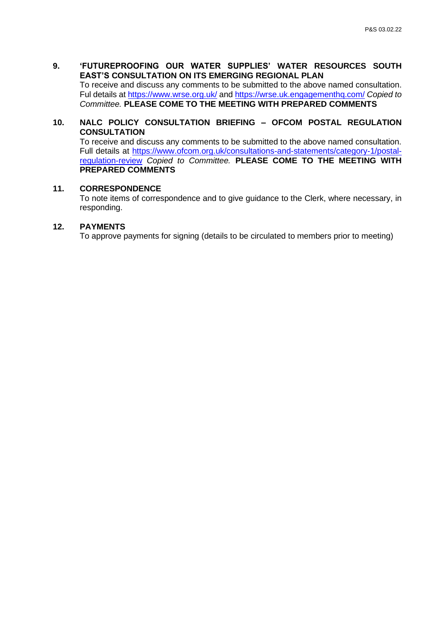**9. 'FUTUREPROOFING OUR WATER SUPPLIES' WATER RESOURCES SOUTH EAST'S CONSULTATION ON ITS EMERGING REGIONAL PLAN** To receive and discuss any comments to be submitted to the above named consultation. Ful details at<https://www.wrse.org.uk/> and<https://wrse.uk.engagementhq.com/> *Copied to Committee.* **PLEASE COME TO THE MEETING WITH PREPARED COMMENTS**

**10. NALC POLICY CONSULTATION BRIEFING – OFCOM POSTAL REGULATION CONSULTATION**

To receive and discuss any comments to be submitted to the above named consultation. Full details at [https://www.ofcom.org.uk/consultations-and-statements/category-1/postal](https://www.ofcom.org.uk/consultations-and-statements/category-1/postal-regulation-review)[regulation-review](https://www.ofcom.org.uk/consultations-and-statements/category-1/postal-regulation-review) *Copied to Committee.* **PLEASE COME TO THE MEETING WITH PREPARED COMMENTS**

#### **11. CORRESPONDENCE**

To note items of correspondence and to give guidance to the Clerk, where necessary, in responding.

### **12. PAYMENTS**

To approve payments for signing (details to be circulated to members prior to meeting)